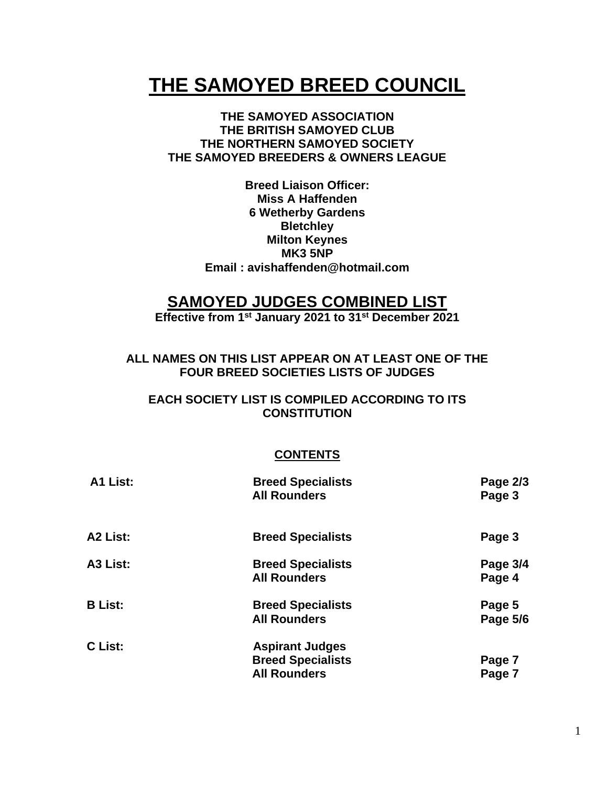# **THE SAMOYED BREED COUNCIL**

#### **THE SAMOYED ASSOCIATION THE BRITISH SAMOYED CLUB THE NORTHERN SAMOYED SOCIETY THE SAMOYED BREEDERS & OWNERS LEAGUE**

**Breed Liaison Officer: Miss A Haffenden 6 Wetherby Gardens Bletchley Milton Keynes MK3 5NP Email : avishaffenden@hotmail.com**

## **SAMOYED JUDGES COMBINED LIST**

**Effective from 1st January 2021 to 31st December 2021**

**ALL NAMES ON THIS LIST APPEAR ON AT LEAST ONE OF THE FOUR BREED SOCIETIES LISTS OF JUDGES**

#### **EACH SOCIETY LIST IS COMPILED ACCORDING TO ITS CONSTITUTION**

#### **CONTENTS**

| A1 List:             | <b>Breed Specialists</b><br><b>All Rounders</b>                           | Page 2/3<br>Page 3 |
|----------------------|---------------------------------------------------------------------------|--------------------|
| A <sub>2</sub> List: | <b>Breed Specialists</b>                                                  | Page 3             |
| A3 List:             | <b>Breed Specialists</b><br><b>All Rounders</b>                           | Page 3/4<br>Page 4 |
| <b>B</b> List:       | <b>Breed Specialists</b><br><b>All Rounders</b>                           | Page 5<br>Page 5/6 |
| C List:              | <b>Aspirant Judges</b><br><b>Breed Specialists</b><br><b>All Rounders</b> | Page 7<br>Page 7   |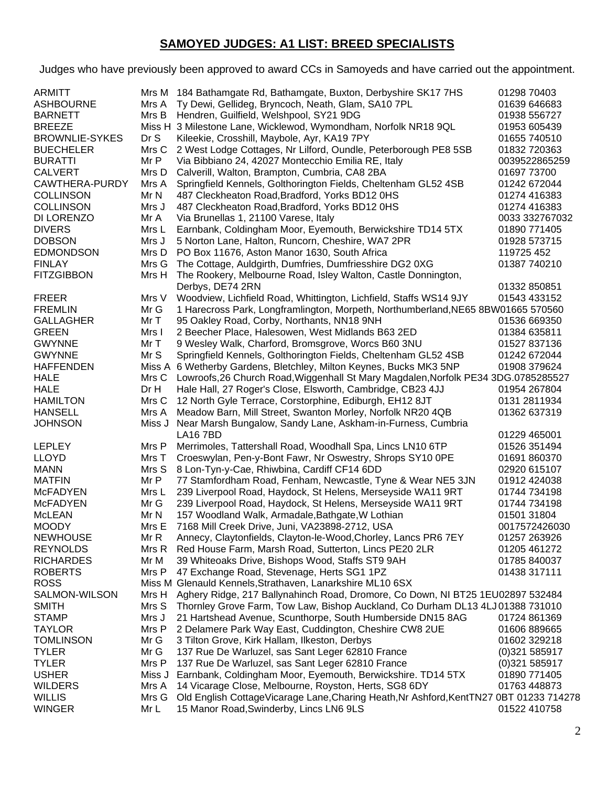## **SAMOYED JUDGES: A1 LIST: BREED SPECIALISTS**

Judges who have previously been approved to award CCs in Samoyeds and have carried out the appointment.

| <b>ARMITT</b>                 |                | Mrs M 184 Bathamgate Rd, Bathamgate, Buxton, Derbyshire SK17 7HS                                                     | 01298 70403                  |
|-------------------------------|----------------|----------------------------------------------------------------------------------------------------------------------|------------------------------|
| <b>ASHBOURNE</b>              | Mrs A          | Ty Dewi, Gellideg, Bryncoch, Neath, Glam, SA10 7PL                                                                   | 01639 646683                 |
| <b>BARNETT</b>                | Mrs B          | Hendren, Guilfield, Welshpool, SY21 9DG                                                                              | 01938 556727                 |
| <b>BREEZE</b>                 | Miss H         | 3 Milestone Lane, Wicklewod, Wymondham, Norfolk NR18 9QL                                                             | 01953 605439                 |
| <b>BROWNLIE-SYKES</b>         | Dr S           | Kileekie, Crosshill, Maybole, Ayr, KA19 7PY                                                                          | 01655 740510                 |
| <b>BUECHELER</b>              | Mrs C          | 2 West Lodge Cottages, Nr Lilford, Oundle, Peterborough PE8 5SB                                                      | 01832 720363                 |
| <b>BURATTI</b>                | Mr P           | Via Bibbiano 24, 42027 Montecchio Emilia RE, Italy                                                                   | 0039522865259                |
| <b>CALVERT</b>                | Mrs D          | Calverill, Walton, Brampton, Cumbria, CA8 2BA                                                                        | 01697 73700                  |
| CAWTHERA-PURDY                | Mrs A          | Springfield Kennels, Golthorington Fields, Cheltenham GL52 4SB                                                       | 01242 672044                 |
| <b>COLLINSON</b>              | Mr N           | 487 Cleckheaton Road, Bradford, Yorks BD12 0HS                                                                       | 01274 416383                 |
| <b>COLLINSON</b>              | Mrs J          | 487 Cleckheaton Road, Bradford, Yorks BD12 0HS                                                                       | 01274 416383                 |
| DI LORENZO                    | Mr A           | Via Brunellas 1, 21100 Varese, Italy                                                                                 | 0033 332767032               |
| <b>DIVERS</b>                 | Mrs L          | Earnbank, Coldingham Moor, Eyemouth, Berwickshire TD14 5TX                                                           | 01890 771405                 |
| <b>DOBSON</b>                 | Mrs J          | 5 Norton Lane, Halton, Runcorn, Cheshire, WA7 2PR                                                                    | 01928 573715                 |
| <b>EDMONDSON</b>              | Mrs D          | PO Box 11676, Aston Manor 1630, South Africa                                                                         | 119725 452                   |
| <b>FINLAY</b>                 | Mrs G          | The Cottage, Auldgirth, Dumfries, Dumfriesshire DG2 0XG                                                              | 01387 740210                 |
| <b>FITZGIBBON</b>             | Mrs H          | The Rookery, Melbourne Road, Isley Walton, Castle Donnington,                                                        |                              |
|                               |                | Derbys, DE74 2RN                                                                                                     | 01332 850851                 |
| <b>FREER</b>                  | Mrs V          | Woodview, Lichfield Road, Whittington, Lichfield, Staffs WS14 9JY                                                    | 01543 433152                 |
| <b>FREMLIN</b>                | Mr G           | 1 Harecross Park, Longframlington, Morpeth, Northumberland, NE65 8BW01665 570560                                     |                              |
| <b>GALLAGHER</b>              | MrT            | 95 Oakley Road, Corby, Northants, NN18 9NH                                                                           | 01536 669350                 |
| <b>GREEN</b>                  | Mrs I          | 2 Beecher Place, Halesowen, West Midlands B63 2ED                                                                    | 01384 635811                 |
| <b>GWYNNE</b>                 | MrT            | 9 Wesley Walk, Charford, Bromsgrove, Worcs B60 3NU                                                                   | 01527 837136                 |
| <b>GWYNNE</b>                 | Mr S           | Springfield Kennels, Golthorington Fields, Cheltenham GL52 4SB                                                       | 01242 672044                 |
| <b>HAFFENDEN</b>              |                | Miss A 6 Wetherby Gardens, Bletchley, Milton Keynes, Bucks MK3 5NP                                                   | 01908 379624                 |
| <b>HALE</b>                   | Mrs C          | Lowroofs, 26 Church Road, Wiggenhall St Mary Magdalen, Norfolk PE34 3DG.0785285527                                   |                              |
| <b>HALE</b>                   | Dr H           | Hale Hall, 27 Roger's Close, Elsworth, Cambridge, CB23 4JJ                                                           | 01954 267804                 |
| <b>HAMILTON</b>               | Mrs C          | 12 North Gyle Terrace, Corstorphine, Ediburgh, EH12 8JT                                                              | 0131 2811934                 |
| <b>HANSELL</b>                | Mrs A          | Meadow Barn, Mill Street, Swanton Morley, Norfolk NR20 4QB                                                           | 01362 637319                 |
| <b>JOHNSON</b>                | Miss J         | Near Marsh Bungalow, Sandy Lane, Askham-in-Furness, Cumbria                                                          |                              |
|                               |                | <b>LA16 7BD</b>                                                                                                      | 01229 465001                 |
| <b>LEPLEY</b>                 | Mrs P          | Merrimoles, Tattershall Road, Woodhall Spa, Lincs LN10 6TP                                                           | 01526 351494                 |
| <b>LLOYD</b>                  | Mrs T          | Croeswylan, Pen-y-Bont Fawr, Nr Oswestry, Shrops SY10 OPE                                                            | 01691 860370                 |
| <b>MANN</b>                   | Mrs S          | 8 Lon-Tyn-y-Cae, Rhiwbina, Cardiff CF14 6DD                                                                          | 02920 615107                 |
| <b>MATFIN</b>                 | Mr P           | 77 Stamfordham Road, Fenham, Newcastle, Tyne & Wear NE5 3JN                                                          | 01912 424038                 |
| <b>McFADYEN</b>               | Mrs L          | 239 Liverpool Road, Haydock, St Helens, Merseyside WA11 9RT                                                          | 01744 734198                 |
| <b>McFADYEN</b>               | Mr G           | 239 Liverpool Road, Haydock, St Helens, Merseyside WA11 9RT                                                          | 01744 734198                 |
| <b>McLEAN</b>                 | Mr N           | 157 Woodland Walk, Armadale, Bathgate, W Lothian                                                                     | 01501 31804                  |
| <b>MOODY</b>                  | Mrs E          | 7168 Mill Creek Drive, Juni, VA23898-2712, USA                                                                       | 0017572426030                |
| <b>NEWHOUSE</b>               | Mr R           | Annecy, Claytonfields, Clayton-le-Wood, Chorley, Lancs PR6 7EY                                                       | 01257 263926                 |
| <b>REYNOLDS</b>               | Mrs R          | Red House Farm, Marsh Road, Sutterton, Lincs PE20 2LR                                                                | 01205 461272                 |
| <b>RICHARDES</b>              | Mr M           | 39 Whiteoaks Drive, Bishops Wood, Staffs ST9 9AH                                                                     | 01785 840037                 |
| <b>ROBERTS</b>                | Mrs P          | 47 Exchange Road, Stevenage, Herts SG1 1PZ                                                                           | 01438 317111                 |
| <b>ROSS</b>                   |                | Miss M Glenauld Kennels, Strathaven, Lanarkshire ML10 6SX                                                            |                              |
| SALMON-WILSON                 | Mrs H          | Aghery Ridge, 217 Ballynahinch Road, Dromore, Co Down, NI BT25 1EU02897 532484                                       |                              |
| <b>SMITH</b>                  | Mrs S          | Thornley Grove Farm, Tow Law, Bishop Auckland, Co Durham DL13 4LJ 01388 731010                                       |                              |
| <b>STAMP</b><br><b>TAYLOR</b> | Mrs J<br>Mrs P | 21 Hartshead Avenue, Scunthorpe, South Humberside DN15 8AG<br>2 Delamere Park Way East, Cuddington, Cheshire CW8 2UE | 01724 861369                 |
| <b>TOMLINSON</b>              | Mr G           | 3 Tilton Grove, Kirk Hallam, Ilkeston, Derbys                                                                        | 01606 889665<br>01602 329218 |
| <b>TYLER</b>                  |                |                                                                                                                      |                              |
| <b>TYLER</b>                  | Mr G<br>Mrs P  | 137 Rue De Warluzel, sas Sant Leger 62810 France<br>137 Rue De Warluzel, sas Sant Leger 62810 France                 | (0)321585917<br>(0)321585917 |
| <b>USHER</b>                  | Miss J         | Earnbank, Coldingham Moor, Eyemouth, Berwickshire. TD14 5TX                                                          | 01890 771405                 |
| <b>WILDERS</b>                | Mrs A          | 14 Vicarage Close, Melbourne, Royston, Herts, SG8 6DY                                                                | 01763 448873                 |
| <b>WILLIS</b>                 | Mrs G          | Old English CottageVicarage Lane, Charing Heath, Nr Ashford, KentTN27 0BT 01233 714278                               |                              |
| <b>WINGER</b>                 | Mr L           | 15 Manor Road, Swinderby, Lincs LN6 9LS                                                                              | 01522 410758                 |
|                               |                |                                                                                                                      |                              |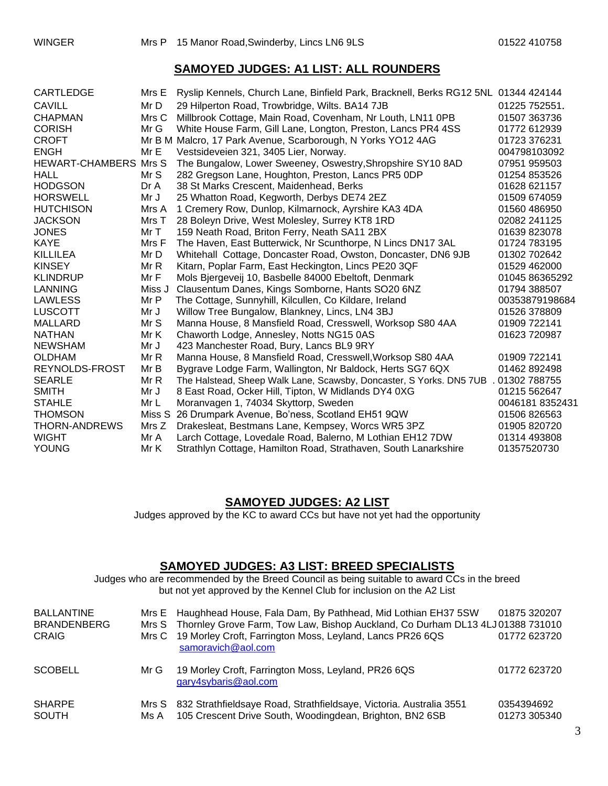#### **SAMOYED JUDGES: A1 LIST: ALL ROUNDERS**

| CARTLEDGE                    | Mrs E  | Ryslip Kennels, Church Lane, Binfield Park, Bracknell, Berks RG12 5NL 01344 424144 |                |
|------------------------------|--------|------------------------------------------------------------------------------------|----------------|
| <b>CAVILL</b>                | Mr D   | 29 Hilperton Road, Trowbridge, Wilts. BA14 7JB                                     | 01225 752551.  |
| <b>CHAPMAN</b>               | Mrs C  | Millbrook Cottage, Main Road, Covenham, Nr Louth, LN11 0PB                         | 01507 363736   |
| <b>CORISH</b>                | Mr G   | White House Farm, Gill Lane, Longton, Preston, Lancs PR4 4SS                       | 01772 612939   |
| <b>CROFT</b>                 |        | Mr B M Malcro, 17 Park Avenue, Scarborough, N Yorks YO12 4AG                       | 01723 376231   |
| <b>ENGH</b>                  | Mr E   | Vestsideveien 321, 3405 Lier, Norway.                                              | 004798103092   |
| <b>HEWART-CHAMBERS Mrs S</b> |        | The Bungalow, Lower Sweeney, Oswestry, Shropshire SY10 8AD                         | 07951 959503   |
| <b>HALL</b>                  | Mr S   | 282 Gregson Lane, Houghton, Preston, Lancs PR5 0DP                                 | 01254 853526   |
| <b>HODGSON</b>               | Dr A   | 38 St Marks Crescent, Maidenhead, Berks                                            | 01628 621157   |
| <b>HORSWELL</b>              | Mr J   | 25 Whatton Road, Kegworth, Derbys DE74 2EZ                                         | 01509 674059   |
| <b>HUTCHISON</b>             | Mrs A  | 1 Cremery Row, Dunlop, Kilmarnock, Ayrshire KA3 4DA                                | 01560 486950   |
| <b>JACKSON</b>               | Mrs T  | 28 Boleyn Drive, West Molesley, Surrey KT8 1RD                                     | 02082 241125   |
| <b>JONES</b>                 | Mr T   | 159 Neath Road, Briton Ferry, Neath SA11 2BX                                       | 01639 823078   |
| <b>KAYE</b>                  | Mrs F  | The Haven, East Butterwick, Nr Scunthorpe, N Lincs DN17 3AL                        | 01724 783195   |
| <b>KILLILEA</b>              | Mr D   | Whitehall Cottage, Doncaster Road, Owston, Doncaster, DN6 9JB                      | 01302 702642   |
| <b>KINSEY</b>                | Mr R   | Kitarn, Poplar Farm, East Heckington, Lincs PE20 3QF                               | 01529 462000   |
| <b>KLINDRUP</b>              | MrF    | Mols Bjergeveij 10, Basbelle 84000 Ebeltoft, Denmark                               | 01045 86365292 |
| <b>LANNING</b>               | Miss J | Clausentum Danes, Kings Somborne, Hants SO20 6NZ                                   | 01794 388507   |
| <b>LAWLESS</b>               | Mr P   | The Cottage, Sunnyhill, Kilcullen, Co Kildare, Ireland                             | 00353879198684 |
| <b>LUSCOTT</b>               | Mr J   | Willow Tree Bungalow, Blankney, Lincs, LN4 3BJ                                     | 01526 378809   |
| <b>MALLARD</b>               | Mr S   | Manna House, 8 Mansfield Road, Cresswell, Worksop S80 4AA                          | 01909 722141   |
| <b>NATHAN</b>                | Mr K   | Chaworth Lodge, Annesley, Notts NG15 0AS                                           | 01623 720987   |
| <b>NEWSHAM</b>               | Mr J   | 423 Manchester Road, Bury, Lancs BL9 9RY                                           |                |
| <b>OLDHAM</b>                | Mr R   | Manna House, 8 Mansfield Road, Cresswell, Worksop S80 4AA                          | 01909 722141   |
| REYNOLDS-FROST               | Mr B   | Bygrave Lodge Farm, Wallington, Nr Baldock, Herts SG7 6QX                          | 01462 892498   |
| <b>SEARLE</b>                | Mr R   | The Halstead, Sheep Walk Lane, Scawsby, Doncaster, S Yorks. DN5 7UB                | 01302 788755   |
| <b>SMITH</b>                 | Mr J   | 8 East Road, Ocker Hill, Tipton, W Midlands DY4 0XG                                | 01215 562647   |
| <b>STAHLE</b>                | Mr L   | Moranvagen 1, 74034 Skyttorp, Sweden                                               | 00461818352431 |
| <b>THOMSON</b>               | Miss S | 26 Drumpark Avenue, Bo'ness, Scotland EH51 9QW                                     | 01506 826563   |
| THORN-ANDREWS                | Mrs Z  | Drakesleat, Bestmans Lane, Kempsey, Worcs WR5 3PZ                                  | 01905 820720   |
| <b>WIGHT</b>                 | Mr A   | Larch Cottage, Lovedale Road, Balerno, M Lothian EH12 7DW                          | 01314 493808   |
| <b>YOUNG</b>                 | Mr K   | Strathlyn Cottage, Hamilton Road, Strathaven, South Lanarkshire                    | 01357520730    |

#### **SAMOYED JUDGES: A2 LIST**

Judges approved by the KC to award CCs but have not yet had the opportunity

#### **SAMOYED JUDGES: A3 LIST: BREED SPECIALISTS**

Judges who are recommended by the Breed Council as being suitable to award CCs in the breed but not yet approved by the Kennel Club for inclusion on the A2 List

| <b>BALLANTINE</b><br><b>BRANDENBERG</b><br><b>CRAIG</b> |      | Mrs E Haughhead House, Fala Dam, By Pathhead, Mid Lothian EH37 5SW<br>Mrs S Thornley Grove Farm, Tow Law, Bishop Auckland, Co Durham DL13 4LJ 01388 731010<br>Mrs C 19 Morley Croft, Farrington Moss, Leyland, Lancs PR26 6QS<br>samoravich@aol.com | 01875 320207<br>01772 623720 |
|---------------------------------------------------------|------|-----------------------------------------------------------------------------------------------------------------------------------------------------------------------------------------------------------------------------------------------------|------------------------------|
| <b>SCOBELL</b>                                          | Mr G | 19 Morley Croft, Farrington Moss, Leyland, PR26 6QS<br>gary4sybaris@aol.com                                                                                                                                                                         | 01772 623720                 |
| <b>SHARPE</b><br><b>SOUTH</b>                           | Ms A | Mrs S 832 Strathfieldsaye Road, Strathfieldsaye, Victoria. Australia 3551<br>105 Crescent Drive South, Woodingdean, Brighton, BN2 6SB                                                                                                               | 0354394692<br>01273 305340   |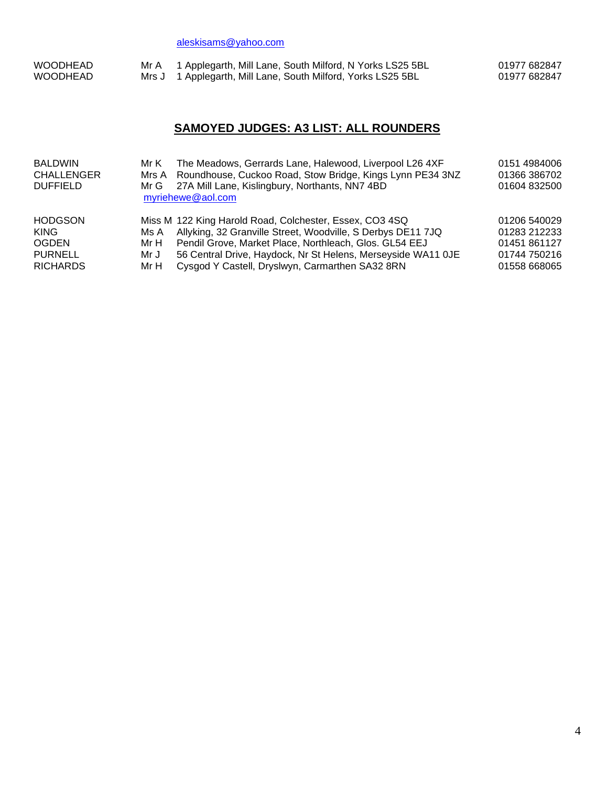[aleskisams@yahoo.com](mailto:aleskisams@yahoo.com)

| <b>WOODHEAD</b> | Mr A 1 Applegarth, Mill Lane, South Milford, N Yorks LS25 5BL | 01977 682847 |
|-----------------|---------------------------------------------------------------|--------------|
| <b>WOODHEAD</b> | Mrs J 1 Applegarth, Mill Lane, South Milford, Yorks LS25 5BL  | 01977 682847 |

## **SAMOYED JUDGES: A3 LIST: ALL ROUNDERS**

| <b>BALDWIN</b><br><b>CHALLENGER</b><br><b>DUFFIELD</b>                             | Mr K<br>Mr G                 | The Meadows, Gerrards Lane, Halewood, Liverpool L26 4XF<br>Mrs A Roundhouse, Cuckoo Road, Stow Bridge, Kings Lynn PE34 3NZ<br>27A Mill Lane, Kislingbury, Northants, NN7 4BD<br>myriehewe@aol.com                                                                                                   | 0151 4984006<br>01366 386702<br>01604 832500                                 |
|------------------------------------------------------------------------------------|------------------------------|-----------------------------------------------------------------------------------------------------------------------------------------------------------------------------------------------------------------------------------------------------------------------------------------------------|------------------------------------------------------------------------------|
| <b>HODGSON</b><br><b>KING</b><br><b>OGDEN</b><br><b>PURNELL</b><br><b>RICHARDS</b> | Ms A<br>Mr H<br>Mr J<br>Mr H | Miss M 122 King Harold Road, Colchester, Essex, CO3 4SQ<br>Allyking, 32 Granville Street, Woodville, S Derbys DE11 7JQ<br>Pendil Grove, Market Place, Northleach, Glos. GL54 EEJ<br>56 Central Drive, Haydock, Nr St Helens, Merseyside WA11 OJE<br>Cysgod Y Castell, Dryslwyn, Carmarthen SA32 8RN | 01206 540029<br>01283 212233<br>01451 861127<br>01744 750216<br>01558 668065 |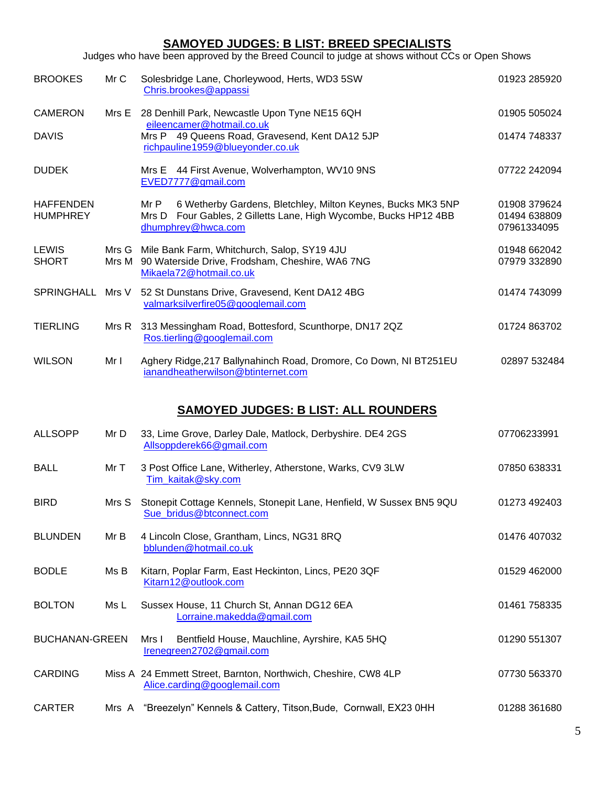## **SAMOYED JUDGES: B LIST: BREED SPECIALISTS**

Judges who have been approved by the Breed Council to judge at shows without CCs or Open Shows

| <b>BROOKES</b>                              | Mr C  | Solesbridge Lane, Chorleywood, Herts, WD3 5SW<br>Chris.brookes@appassi                                                                                        | 01923 285920                                |  |  |  |
|---------------------------------------------|-------|---------------------------------------------------------------------------------------------------------------------------------------------------------------|---------------------------------------------|--|--|--|
| <b>CAMERON</b>                              |       | Mrs E 28 Denhill Park, Newcastle Upon Tyne NE15 6QH                                                                                                           | 01905 505024                                |  |  |  |
| <b>DAVIS</b>                                |       | eileencamer@hotmail.co.uk<br>Mrs P 49 Queens Road, Gravesend, Kent DA12 5JP<br>richpauline1959@blueyonder.co.uk                                               | 01474 748337                                |  |  |  |
| <b>DUDEK</b>                                |       | Mrs E 44 First Avenue, Wolverhampton, WV10 9NS<br>EVED7777@gmail.com                                                                                          | 07722 242094                                |  |  |  |
| <b>HAFFENDEN</b><br><b>HUMPHREY</b>         |       | 6 Wetherby Gardens, Bletchley, Milton Keynes, Bucks MK3 5NP<br>Mr P<br>Mrs D Four Gables, 2 Gilletts Lane, High Wycombe, Bucks HP12 4BB<br>dhumphrey@hwca.com | 01908 379624<br>01494 638809<br>07961334095 |  |  |  |
| <b>LEWIS</b><br><b>SHORT</b>                |       | Mrs G Mile Bank Farm, Whitchurch, Salop, SY19 4JU<br>Mrs M 90 Waterside Drive, Frodsham, Cheshire, WA6 7NG<br>Mikaela72@hotmail.co.uk                         | 01948 662042<br>07979 332890                |  |  |  |
| SPRINGHALL Mrs V                            |       | 52 St Dunstans Drive, Gravesend, Kent DA12 4BG<br>valmarksilverfire05@googlemail.com                                                                          | 01474 743099                                |  |  |  |
| <b>TIERLING</b>                             |       | Mrs R 313 Messingham Road, Bottesford, Scunthorpe, DN17 2QZ<br>Ros.tierling@googlemail.com                                                                    | 01724 863702                                |  |  |  |
| <b>WILSON</b>                               | Mr I  | Aghery Ridge, 217 Ballynahinch Road, Dromore, Co Down, NI BT251EU<br>ianandheatherwilson@btinternet.com                                                       | 02897 532484                                |  |  |  |
| <b>SAMOYED JUDGES: B LIST: ALL ROUNDERS</b> |       |                                                                                                                                                               |                                             |  |  |  |
| <b>ALLSOPP</b>                              | Mr D  | 33, Lime Grove, Darley Dale, Matlock, Derbyshire. DE4 2GS<br>Allsoppderek66@gmail.com                                                                         | 07706233991                                 |  |  |  |
| <b>BALL</b>                                 | Mr T  | 3 Post Office Lane, Witherley, Atherstone, Warks, CV9 3LW<br>Tim kaitak@sky.com                                                                               | 07850 638331                                |  |  |  |
| <b>BIRD</b>                                 | Mrs S | Stonepit Cottage Kennels, Stonepit Lane, Henfield, W Sussex BN5 9QU<br>Sue bridus@btconnect.com                                                               | 01273 492403                                |  |  |  |

BLUNDEN Mr B 4 Lincoln Close, Grantham, Lincs, NG31 8RQ 01476 407032 [bblunden@hotmail.co.uk](mailto:bblunden@hotmail.co.uk) BODLE Ms B Kitarn, Poplar Farm, East Heckinton, Lincs, PE20 3QF 01529 462000 [Kitarn12@outlook.com](mailto:Kitarn12@outlook.com) BOLTON Ms L Sussex House, 11 Church St, Annan DG12 6EA 01461 758335 [Lorraine.makedda@gmail.com](mailto:Lorraine.makedda@gmail.com)

BUCHANAN-GREEN Mrs I Bentfield House, Mauchline, Ayrshire, KA5 5HQ 01290 551307 [Irenegreen2702@gmail.com](mailto:Irenegreen2702@gmail.com) CARDING Miss A 24 Emmett Street, Barnton, Northwich, Cheshire, CW8 4LP 07730 563370 [Alice.carding@googlemail.com](mailto:Alice.carding@googlemail.com)

| <b>CARTER</b> |  | Mrs A "Breezelyn" Kennels & Cattery, Titson, Bude, Cornwall, EX23 0HH |  |  | 01288 361680 |
|---------------|--|-----------------------------------------------------------------------|--|--|--------------|
|---------------|--|-----------------------------------------------------------------------|--|--|--------------|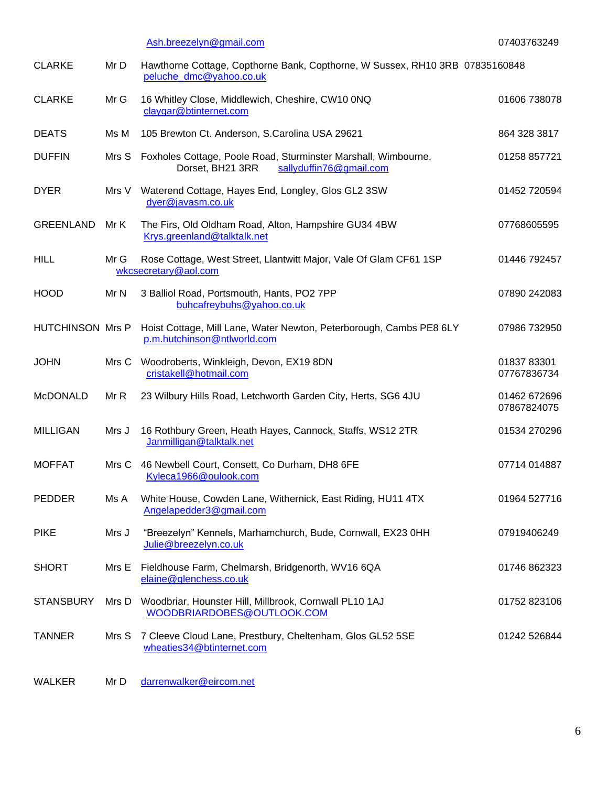|                         |       | Ash.breezelyn@gmail.com                                                                                             | 07403763249                 |
|-------------------------|-------|---------------------------------------------------------------------------------------------------------------------|-----------------------------|
| <b>CLARKE</b>           | Mr D  | Hawthorne Cottage, Copthorne Bank, Copthorne, W Sussex, RH10 3RB 07835160848<br>peluche_dmc@yahoo.co.uk             |                             |
| <b>CLARKE</b>           | Mr G  | 16 Whitley Close, Middlewich, Cheshire, CW10 0NQ<br>claygar@btinternet.com                                          | 01606 738078                |
| <b>DEATS</b>            | Ms M  | 105 Brewton Ct. Anderson, S.Carolina USA 29621                                                                      | 864 328 3817                |
| <b>DUFFIN</b>           |       | Mrs S Foxholes Cottage, Poole Road, Sturminster Marshall, Wimbourne,<br>Dorset, BH21 3RR<br>sallyduffin76@gmail.com | 01258 857721                |
| <b>DYER</b>             |       | Mrs V Waterend Cottage, Hayes End, Longley, Glos GL2 3SW<br>dyer@javasm.co.uk                                       | 01452 720594                |
| <b>GREENLAND</b>        | Mr K  | The Firs, Old Oldham Road, Alton, Hampshire GU34 4BW<br>Krys.greenland@talktalk.net                                 | 07768605595                 |
| <b>HILL</b>             | Mr G  | Rose Cottage, West Street, Llantwitt Major, Vale Of Glam CF61 1SP<br>wkcsecretary@aol.com                           | 01446 792457                |
| <b>HOOD</b>             | Mr N  | 3 Balliol Road, Portsmouth, Hants, PO2 7PP<br>buhcafreybuhs@yahoo.co.uk                                             | 07890 242083                |
| <b>HUTCHINSON Mrs P</b> |       | Hoist Cottage, Mill Lane, Water Newton, Peterborough, Cambs PE8 6LY<br>p.m.hutchinson@ntlworld.com                  | 07986 732950                |
| <b>JOHN</b>             | Mrs C | Woodroberts, Winkleigh, Devon, EX19 8DN<br>cristakell@hotmail.com                                                   | 01837 83301<br>07767836734  |
| <b>McDONALD</b>         | Mr R  | 23 Wilbury Hills Road, Letchworth Garden City, Herts, SG6 4JU                                                       | 01462 672696<br>07867824075 |
| <b>MILLIGAN</b>         | Mrs J | 16 Rothbury Green, Heath Hayes, Cannock, Staffs, WS12 2TR<br>Janmilligan@talktalk.net                               | 01534 270296                |
| <b>MOFFAT</b>           | Mrs C | 46 Newbell Court, Consett, Co Durham, DH8 6FE<br>Kyleca1966@oulook.com                                              | 07714 014887                |
| <b>PEDDER</b>           | Ms A  | White House, Cowden Lane, Withernick, East Riding, HU11 4TX<br>Angelapedder3@gmail.com                              | 01964 527716                |
| <b>PIKE</b>             | Mrs J | "Breezelyn" Kennels, Marhamchurch, Bude, Cornwall, EX23 0HH<br>Julie@breezelyn.co.uk                                | 07919406249                 |
| <b>SHORT</b>            | Mrs E | Fieldhouse Farm, Chelmarsh, Bridgenorth, WV16 6QA<br>elaine@glenchess.co.uk                                         | 01746 862323                |
| <b>STANSBURY</b>        |       | Mrs D Woodbriar, Hounster Hill, Millbrook, Cornwall PL10 1AJ<br>WOODBRIARDOBES@OUTLOOK.COM                          | 01752 823106                |
| <b>TANNER</b>           | Mrs S | 7 Cleeve Cloud Lane, Prestbury, Cheltenham, Glos GL52 5SE<br>wheaties34@btinternet.com                              | 01242 526844                |

WALKER Mr D [darrenwalker@eircom.net](mailto:darrenwalker@eircom.net)